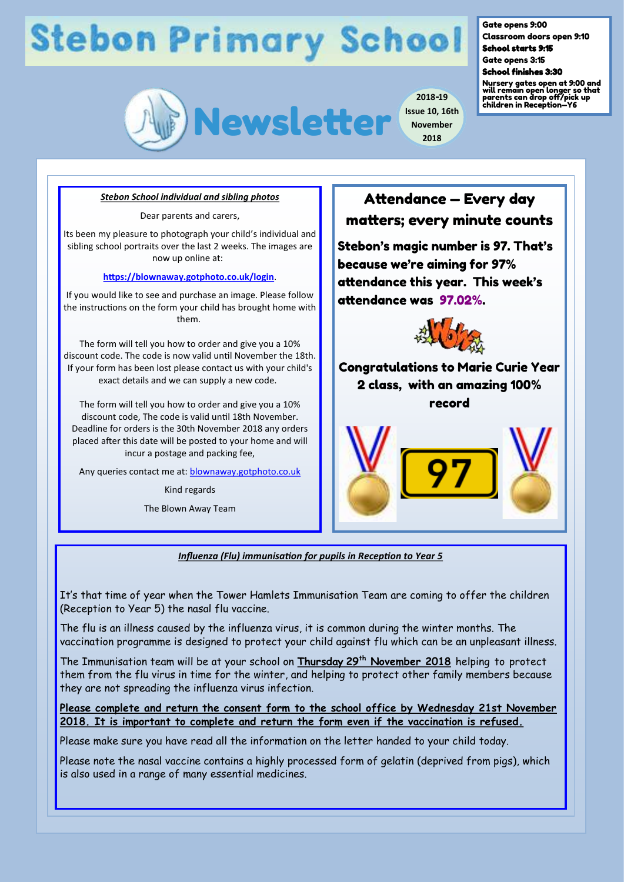# **Stebon Primary School**



**2018-19 Issue 10, 16th November 2018**

Gate opens 9:00

Classroom doors open 9:10 School starts 9:15

Gate opens 3:15 School finishes 3:30

Nursery gates open at 9:00 and will remain open longer so that parents can drop off/pick up children in Reception—Y6

#### *Stebon School individual and sibling photos*

Dear parents and carers,

Its been my pleasure to photograph your child's individual and sibling school portraits over the last 2 weeks. The images are now up online at:

### **<https://blownaway.gotphoto.co.uk/login>**.

If you would like to see and purchase an image. Please follow the instructions on the form your child has brought home with them.

The form will tell you how to order and give you a 10% discount code. The code is now valid until November the 18th. If your form has been lost please contact us with your child's exact details and we can supply a new code.

The form will tell you how to order and give you a 10% discount code, The code is valid until 18th November. Deadline for orders is the 30th November 2018 any orders placed after this date will be posted to your home and will incur a postage and packing fee,

Any queries contact me at: **blownaway.gotphoto.co.uk** 

Kind regards

The Blown Away Team

## Attendance — Every day matters; every minute counts

Stebon's magic number is 97. That's because we're aiming for 97% attendance this year. This week's attendance was 97.02%.



Congratulations to Marie Curie Year 2 class, with an amazing 100% record



*Influenza (Flu) immunisation for pupils in Reception to Year 5*

It's that time of year when the Tower Hamlets Immunisation Team are coming to offer the children (Reception to Year 5) the nasal flu vaccine.

The flu is an illness caused by the influenza virus, it is common during the winter months. The vaccination programme is designed to protect your child against flu which can be an unpleasant illness.

The Immunisation team will be at your school on **Thursday 29th November 2018** helping to protect them from the flu virus in time for the winter, and helping to protect other family members because they are not spreading the influenza virus infection.

**Please complete and return the consent form to the school office by Wednesday 21st November 2018. It is important to complete and return the form even if the vaccination is refused.** 

Please make sure you have read all the information on the letter handed to your child today.

Please note the nasal vaccine contains a highly processed form of gelatin (deprived from pigs), which is also used in a range of many essential medicines.